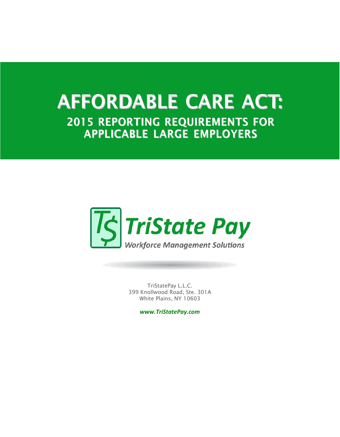## **AFFORDABLE CARE ACT: 2015 REPORTING REQUIREMENTS FOR APPLICABLE LARGE EMPLOYERS**



TriStatePay L.L.C. 399 Knollwood Road, Ste. 301A White Plains, NY 10603

*www.TriStatePay.com*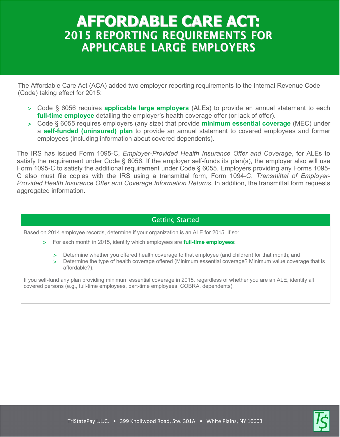## **AFFORDABLE CARE ACT: 2015 REPORTING REQUIREMENTS FOR APPLICABLE LARGE EMPLOYERS**

The Affordable Care Act (ACA) added two employer reporting requirements to the Internal Revenue Code (Code) taking effect for 2015:

- Code § 6056 requires **applicable large employers** (ALEs) to provide an annual statement to each **full-time employee** detailing the employer's health coverage offer (or lack of offer).
- Code § 6055 requires employers (any size) that provide **minimum essential coverage** (MEC) under a **self-funded (uninsured) plan** to provide an annual statement to covered employees and former employees (including information about covered dependents).

The IRS has issued Form 1095-C, *Employer-Provided Health Insurance Offer and Coverage*, for ALEs to satisfy the requirement under Code § 6056. If the employer self-funds its plan(s), the employer also will use Form 1095-C to satisfy the additional requirement under Code § 6055. Employers providing any Forms 1095- C also must file copies with the IRS using a transmittal form, Form 1094-C, *Transmittal of Employer-Provided Health Insurance Offer and Coverage Information Returns*. In addition, the transmittal form requests aggregated information.

## Getting Started

Based on 2014 employee records, determine if your organization is an ALE for 2015. If so:

- For each month in 2015, identify which employees are **full-time employees**:
	- Determine whether you offered health coverage to that employee (and children) for that month; and
	- Determine the type of health coverage offered (Minimum essential coverage? Minimum value coverage that is affordable?).

If you self-fund any plan providing minimum essential coverage in 2015, regardless of whether you are an ALE, identify all covered persons (e.g., full-time employees, part-time employees, COBRA, dependents).